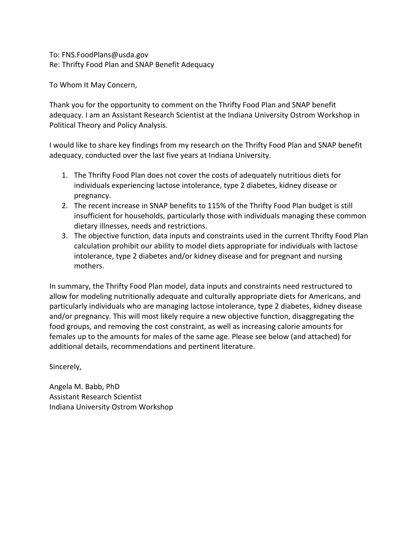To: FNS.FoodPlans@usda.gov Re: Thrifty Food Plan and SNAP Benefit Adequacy

To Whom It May Concern,

Thank you for the opportunity to comment on the Thrifty Food Plan and SNAP benefit adequacy. I am an Assistant Research Scientist at the Indiana University Ostrom Workshop in Political Theory and Policy Analysis.

I would like to share key findings from my research on the Thrifty Food Plan and SNAP benefit adequacy, conducted over the last five years at Indiana University.

- 1. The Thrifty Food Plan does not cover the costs of adequately nutritious diets for individuals experiencing lactose intolerance, type 2 diabetes, kidney disease or pregnancy.
- 2. The recent increase in SNAP benefits to 115% of the Thrifty Food Plan budget is still insufficient for households, particularly those with individuals managing these common dietary illnesses, needs and restrictions.
- 3. The objective function, data inputs and constraints used in the current Thrifty Food Plan calculation prohibit our ability to model diets appropriate for individuals with lactose intolerance, type 2 diabetes and/or kidney disease and for pregnant and nursing mothers.

In summary, the Thrifty Food Plan model, data inputs and constraints need restructured to allow for modeling nutritionally adequate and culturally appropriate diets for Americans, and particularly individuals who are managing lactose intolerance, type 2 diabetes, kidney disease and/or pregnancy. This will most likely require a new objective function, disaggregating the food groups, and removing the cost constraint, as well as increasing calorie amounts for females up to the amounts for males of the same age. Please see below (and attached) for additional details, recommendations and pertinent literature.

Sincerely,

Angela M. Babb, PhD Assistant Research Scientist Indiana University Ostrom Workshop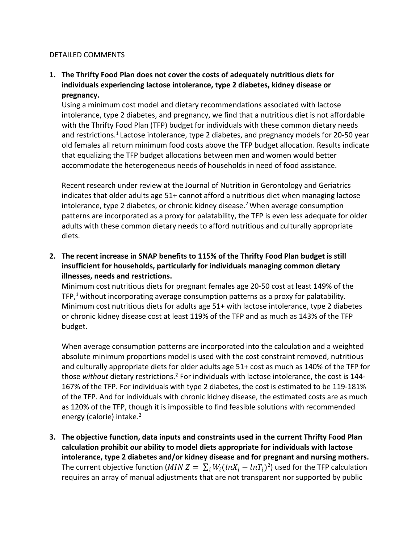## DETAILED COMMENTS

**1. The Thrifty Food Plan does not cover the costs of adequately nutritious diets for individuals experiencing lactose intolerance, type 2 diabetes, kidney disease or pregnancy.** 

Using a minimum cost model and dietary recommendations associated with lactose intolerance, type 2 diabetes, and pregnancy, we find that a nutritious diet is not affordable with the Thrifty Food Plan (TFP) budget for individuals with these common dietary needs and restrictions.<sup>1</sup> Lactose intolerance, type 2 diabetes, and pregnancy models for 20-50 year old females all return minimum food costs above the TFP budget allocation. Results indicate that equalizing the TFP budget allocations between men and women would better accommodate the heterogeneous needs of households in need of food assistance.

Recent research under review at the Journal of Nutrition in Gerontology and Geriatrics indicates that older adults age 51+ cannot afford a nutritious diet when managing lactose intolerance, type 2 diabetes, or chronic kidney disease.<sup>2</sup> When average consumption patterns are incorporated as a proxy for palatability, the TFP is even less adequate for older adults with these common dietary needs to afford nutritious and culturally appropriate diets.

**2. The recent increase in SNAP benefits to 115% of the Thrifty Food Plan budget is still insufficient for households, particularly for individuals managing common dietary illnesses, needs and restrictions.** 

Minimum cost nutritious diets for pregnant females age 20-50 cost at least 149% of the TFP,<sup>1</sup> without incorporating average consumption patterns as a proxy for palatability. Minimum cost nutritious diets for adults age 51+ with lactose intolerance, type 2 diabetes or chronic kidney disease cost at least 119% of the TFP and as much as 143% of the TFP budget.

When average consumption patterns are incorporated into the calculation and a weighted absolute minimum proportions model is used with the cost constraint removed, nutritious and culturally appropriate diets for older adults age 51+ cost as much as 140% of the TFP for those *without* dietary restrictions.2 For individuals with lactose intolerance, the cost is 144- 167% of the TFP. For individuals with type 2 diabetes, the cost is estimated to be 119-181% of the TFP. And for individuals with chronic kidney disease, the estimated costs are as much as 120% of the TFP, though it is impossible to find feasible solutions with recommended energy (calorie) intake.<sup>2</sup>

**3. The objective function, data inputs and constraints used in the current Thrifty Food Plan calculation prohibit our ability to model diets appropriate for individuals with lactose intolerance, type 2 diabetes and/or kidney disease and for pregnant and nursing mothers.**  The current objective function (*MIN Z* =  $\sum_i W_i (ln X_i - ln T_i)^2$ ) used for the TFP calculation requires an array of manual adjustments that are not transparent nor supported by public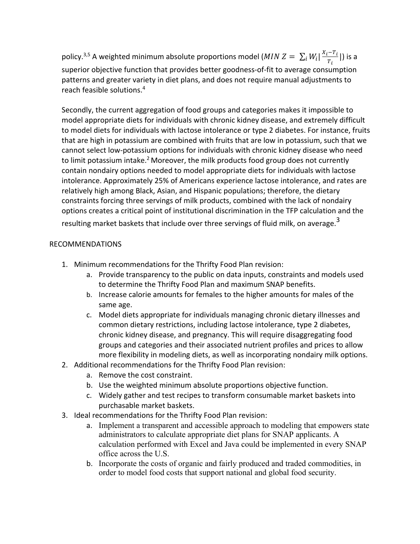policy.<sup>3,5</sup> A weighted minimum absolute proportions model (*MIN Z* =  $\sum_i W_i$  |  $\frac{X_i-T_i}{T_i}$  $_i W_i \left| \frac{X_i - T_i}{T_i} \right|$ ) is a superior objective function that provides better goodness-of-fit to average consumption patterns and greater variety in diet plans, and does not require manual adjustments to reach feasible solutions. 4

Secondly, the current aggregation of food groups and categories makes it impossible to model appropriate diets for individuals with chronic kidney disease, and extremely difficult to model diets for individuals with lactose intolerance or type 2 diabetes. For instance, fruits that are high in potassium are combined with fruits that are low in potassium, such that we cannot select low-potassium options for individuals with chronic kidney disease who need to limit potassium intake.<sup>2</sup> Moreover, the milk products food group does not currently contain nondairy options needed to model appropriate diets for individuals with lactose intolerance. Approximately 25% of Americans experience lactose intolerance, and rates are relatively high among Black, Asian, and Hispanic populations; therefore, the dietary constraints forcing three servings of milk products, combined with the lack of nondairy options creates a critical point of institutional discrimination in the TFP calculation and the resulting market baskets that include over three servings of fluid milk, on average. $3$ 

## RECOMMENDATIONS

- 1. Minimum recommendations for the Thrifty Food Plan revision:
	- a. Provide transparency to the public on data inputs, constraints and models used to determine the Thrifty Food Plan and maximum SNAP benefits.
	- b. Increase calorie amounts for females to the higher amounts for males of the same age.
	- c. Model diets appropriate for individuals managing chronic dietary illnesses and common dietary restrictions, including lactose intolerance, type 2 diabetes, chronic kidney disease, and pregnancy. This will require disaggregating food groups and categories and their associated nutrient profiles and prices to allow more flexibility in modeling diets, as well as incorporating nondairy milk options.
- 2. Additional recommendations for the Thrifty Food Plan revision:
	- a. Remove the cost constraint.
	- b. Use the weighted minimum absolute proportions objective function.
	- c. Widely gather and test recipes to transform consumable market baskets into purchasable market baskets.
- 3. Ideal recommendations for the Thrifty Food Plan revision:
	- a. Implement a transparent and accessible approach to modeling that empowers state administrators to calculate appropriate diet plans for SNAP applicants. A calculation performed with Excel and Java could be implemented in every SNAP office across the U.S.
	- b. Incorporate the costs of organic and fairly produced and traded commodities, in order to model food costs that support national and global food security.